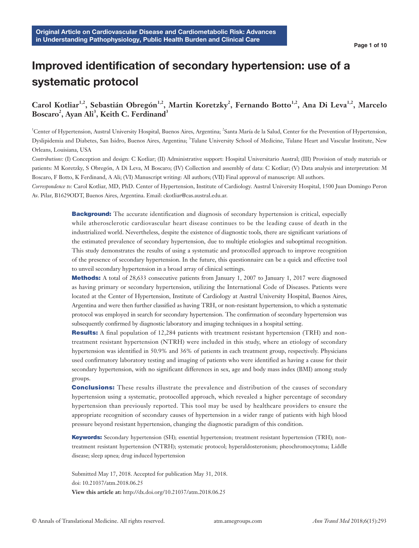# Improved identification of secondary hypertension: use of a systematic protocol

# Carol Kotliar<sup>1,2</sup>, Sebastián Obregón<sup>1,2</sup>, Martin Koretzky<sup>2</sup>, Fernando Botto<sup>1,2</sup>, Ana Di Leva<sup>1,2</sup>, Marcelo  $\text{Boscaro}^2$ , Ayan Ali<sup>3</sup>, Keith C. Ferdinand<sup>3</sup>

<sup>1</sup>Center of Hypertension, Austral University Hospital, Buenos Aires, Argentina; <sup>2</sup>Santa María de la Salud, Center for the Prevention of Hypertension, Dyslipidemia and Diabetes, San Isidro, Buenos Aires, Argentina; <sup>3</sup>Tulane University School of Medicine, Tulane Heart and Vascular Institute, New Orleans, Louisiana, USA

*Contributions:* (I) Conception and design: C Kotliar; (II) Administrative support: Hospital Universitario Austral; (III) Provision of study materials or patients: M Koretzky, S Obregón, A Di Leva, M Boscaro; (IV) Collection and assembly of data: C Kotliar; (V) Data analysis and interpretation: M Boscaro, F Botto, K Ferdinand, A Ali; (VI) Manuscript writing: All authors; (VII) Final approval of manuscript: All authors.

*Correspondence to:* Carol Kotliar, MD, PhD. Center of Hypertension, Institute of Cardiology. Austral University Hospital, 1500 Juan Domingo Peron Av. Pilar, B1629ODT, Buenos Aires, Argentina. Email: ckotliar@cas.austral.edu.ar.

> **Background:** The accurate identification and diagnosis of secondary hypertension is critical, especially while atherosclerotic cardiovascular heart disease continues to be the leading cause of death in the industrialized world. Nevertheless, despite the existence of diagnostic tools, there are significant variations of the estimated prevalence of secondary hypertension, due to multiple etiologies and suboptimal recognition. This study demonstrates the results of using a systematic and protocolled approach to improve recognition of the presence of secondary hypertension. In the future, this questionnaire can be a quick and effective tool to unveil secondary hypertension in a broad array of clinical settings.

> Methods: A total of 28,633 consecutive patients from January 1, 2007 to January 1, 2017 were diagnosed as having primary or secondary hypertension, utilizing the International Code of Diseases. Patients were located at the Center of Hypertension, Institute of Cardiology at Austral University Hospital, Buenos Aires, Argentina and were then further classified as having TRH, or non-resistant hypertension, to which a systematic protocol was employed in search for secondary hypertension. The confirmation of secondary hypertension was subsequently confirmed by diagnostic laboratory and imaging techniques in a hospital setting.

> Results: A final population of 12,284 patients with treatment resistant hypertension (TRH) and nontreatment resistant hypertension (NTRH) were included in this study, where an etiology of secondary hypertension was identified in 50.9% and 36% of patients in each treatment group, respectively. Physicians used confirmatory laboratory testing and imaging of patients who were identified as having a cause for their secondary hypertension, with no significant differences in sex, age and body mass index (BMI) among study groups.

> **Conclusions:** These results illustrate the prevalence and distribution of the causes of secondary hypertension using a systematic, protocolled approach, which revealed a higher percentage of secondary hypertension than previously reported. This tool may be used by healthcare providers to ensure the appropriate recognition of secondary causes of hypertension in a wider range of patients with high blood pressure beyond resistant hypertension, changing the diagnostic paradigm of this condition.

> Keywords: Secondary hypertension (SH); essential hypertension; treatment resistant hypertension (TRH); nontreatment resistant hypertension (NTRH); systematic protocol; hyperaldosteronism; pheochromocytoma; Liddle disease; sleep apnea; drug induced hypertension

Submitted May 17, 2018. Accepted for publication May 31, 2018. doi: 10.21037/atm.2018.06.25 **View this article at:** http://dx.doi.org/10.21037/atm.2018.06.25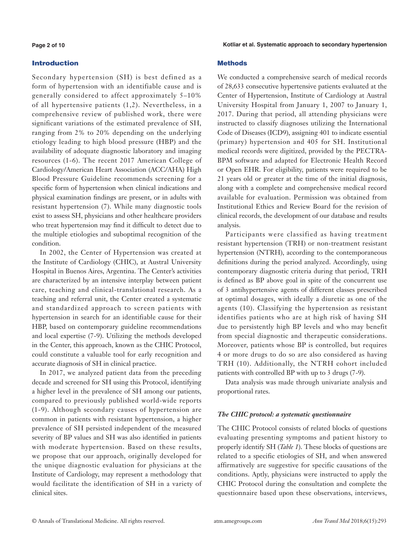#### **Page 2 of 10**

### Introduction

Secondary hypertension (SH) is best defined as a form of hypertension with an identifiable cause and is generally considered to affect approximately 5–10% of all hypertensive patients (1,2). Nevertheless, in a comprehensive review of published work, there were significant variations of the estimated prevalence of SH, ranging from 2% to 20% depending on the underlying etiology leading to high blood pressure (HBP) and the availability of adequate diagnostic laboratory and imaging resources (1-6). The recent 2017 American College of Cardiology/American Heart Association (ACC/AHA) High Blood Pressure Guideline recommends screening for a specific form of hypertension when clinical indications and physical examination findings are present, or in adults with resistant hypertension (7). While many diagnostic tools exist to assess SH, physicians and other healthcare providers who treat hypertension may find it difficult to detect due to the multiple etiologies and suboptimal recognition of the condition.

In 2002, the Center of Hypertension was created at the Institute of Cardiology (CHIC), at Austral University Hospital in Buenos Aires, Argentina. The Center's activities are characterized by an intensive interplay between patient care, teaching and clinical-translational research. As a teaching and referral unit, the Center created a systematic and standardized approach to screen patients with hypertension in search for an identifiable cause for their HBP, based on contemporary guideline recommendations and local expertise (7-9). Utilizing the methods developed in the Center, this approach, known as the CHIC Protocol, could constitute a valuable tool for early recognition and accurate diagnosis of SH in clinical practice.

In 2017, we analyzed patient data from the preceding decade and screened for SH using this Protocol, identifying a higher level in the prevalence of SH among our patients, compared to previously published world-wide reports (1-9). Although secondary causes of hypertension are common in patients with resistant hypertension, a higher prevalence of SH persisted independent of the measured severity of BP values and SH was also identified in patients with moderate hypertension. Based on these results, we propose that our approach, originally developed for the unique diagnostic evaluation for physicians at the Institute of Cardiology, may represent a methodology that would facilitate the identification of SH in a variety of clinical sites.

#### **Methods**

We conducted a comprehensive search of medical records of 28,633 consecutive hypertensive patients evaluated at the Center of Hypertension, Institute of Cardiology at Austral University Hospital from January 1, 2007 to January 1, 2017. During that period, all attending physicians were instructed to classify diagnoses utilizing the International Code of Diseases (ICD9), assigning 401 to indicate essential (primary) hypertension and 405 for SH. Institutional medical records were digitized, provided by the PECTRA-BPM software and adapted for Electronic Health Record or Open EHR. For eligibility, patients were required to be 21 years old or greater at the time of the initial diagnosis, along with a complete and comprehensive medical record available for evaluation. Permission was obtained from Institutional Ethics and Review Board for the revision of clinical records, the development of our database and results analysis.

Participants were classified as having treatment resistant hypertension (TRH) or non-treatment resistant hypertension (NTRH), according to the contemporaneous definitions during the period analyzed. Accordingly, using contemporary diagnostic criteria during that period, TRH is defined as BP above goal in spite of the concurrent use of 3 antihypertensive agents of different classes prescribed at optimal dosages, with ideally a diuretic as one of the agents (10). Classifying the hypertension as resistant identifies patients who are at high risk of having SH due to persistently high BP levels and who may benefit from special diagnostic and therapeutic considerations. Moreover, patients whose BP is controlled, but requires 4 or more drugs to do so are also considered as having TRH (10). Additionally, the NTRH cohort included patients with controlled BP with up to 3 drugs (7-9).

Data analysis was made through univariate analysis and proportional rates.

#### *The CHIC protocol: a systematic questionnaire*

The CHIC Protocol consists of related blocks of questions evaluating presenting symptoms and patient history to properly identify SH (*Table 1*). These blocks of questions are related to a specific etiologies of SH, and when answered affirmatively are suggestive for specific causations of the conditions. Aptly, physicians were instructed to apply the CHIC Protocol during the consultation and complete the questionnaire based upon these observations, interviews,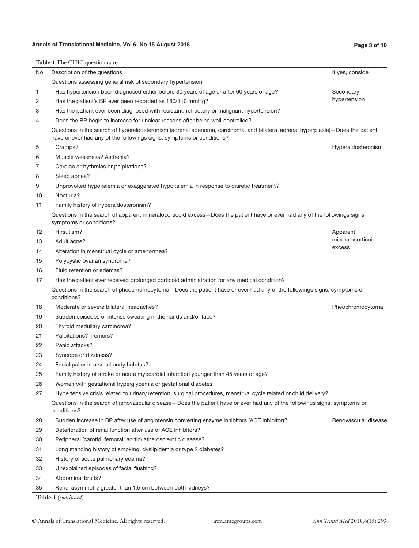# **Annals of Translational Medicine, Vol 6, No 15 August 2018 Page 3 of 10**

|     | <b>Table 1</b> The CHIC questionnaire                                                                                                                                                                   |                      |  |  |
|-----|---------------------------------------------------------------------------------------------------------------------------------------------------------------------------------------------------------|----------------------|--|--|
| No. | Description of the questions                                                                                                                                                                            | If yes, consider:    |  |  |
|     | Questions assessing general risk of secondary hypertension                                                                                                                                              |                      |  |  |
| 1   | Has hypertension been diagnosed either before 30 years of age or after 60 years of age?                                                                                                                 | Secondary            |  |  |
| 2   | Has the patient's BP ever been recorded as 180/110 mmHg?                                                                                                                                                | hypertension         |  |  |
| 3   | Has the patient ever been diagnosed with resistant, refractory or malignant hypertension?                                                                                                               |                      |  |  |
| 4   | Does the BP begin to increase for unclear reasons after being well-controlled?                                                                                                                          |                      |  |  |
|     | Questions in the search of hyperaldosteronism (adrenal adenoma, carcinoma, and bilateral adrenal hyperplasia)-Does the patient<br>have or ever had any of the followings signs, symptoms or conditions? |                      |  |  |
| 5   | Cramps?                                                                                                                                                                                                 | Hyperaldosteronism   |  |  |
| 6   | Muscle weakness? Asthenia?                                                                                                                                                                              |                      |  |  |
| 7   | Cardiac arrhythmias or palpitations?                                                                                                                                                                    |                      |  |  |
| 8   | Sleep apnea?                                                                                                                                                                                            |                      |  |  |
| 9   | Unprovoked hypokalemia or exaggerated hypokalemia in response to diuretic treatment?                                                                                                                    |                      |  |  |
| 10  | Nocturia?                                                                                                                                                                                               |                      |  |  |
| 11  | Family history of hyperaldosteronism?                                                                                                                                                                   |                      |  |  |
|     | Questions in the search of apparent mineralocorticoid excess—Does the patient have or ever had any of the followings signs,<br>symptoms or conditions?                                                  |                      |  |  |
| 12  | Hirsutism?                                                                                                                                                                                              | Apparent             |  |  |
| 13  | Adult acne?                                                                                                                                                                                             | mineralocorticoid    |  |  |
| 14  | Alteration in menstrual cycle or amenorrhea?                                                                                                                                                            | excess               |  |  |
| 15  | Polycystic ovarian syndrome?                                                                                                                                                                            |                      |  |  |
| 16  | Fluid retention or edemas?                                                                                                                                                                              |                      |  |  |
| 17  | Has the patient ever received prolonged corticoid administration for any medical condition?                                                                                                             |                      |  |  |
|     | Questions in the search of pheochromocytoma-Does the patient have or ever had any of the followings signs, symptoms or<br>conditions?                                                                   |                      |  |  |
| 18  | Moderate or severe bilateral headaches?                                                                                                                                                                 | Pheochromocytoma     |  |  |
| 19  | Sudden episodes of intense sweating in the hands and/or face?                                                                                                                                           |                      |  |  |
| 20  | Thyroid medullary carcinoma?                                                                                                                                                                            |                      |  |  |
| 21  | Palpitations? Tremors?                                                                                                                                                                                  |                      |  |  |
| 22  | Panic attacks?                                                                                                                                                                                          |                      |  |  |
| 23  | Syncope or dizziness?                                                                                                                                                                                   |                      |  |  |
| 24  | Facial pallor in a small body habitus?                                                                                                                                                                  |                      |  |  |
| 25  | Family history of stroke or acute myocardial infarction younger than 45 years of age?                                                                                                                   |                      |  |  |
| 26  | Women with gestational hyperglycemia or gestational diabetes                                                                                                                                            |                      |  |  |
| 27  | Hypertensive crisis related to urinary retention, surgical procedures, menstrual cycle related or child delivery?                                                                                       |                      |  |  |
|     | Questions in the search of renovascular disease—Does the patient have or ever had any of the followings signs, symptoms or<br>conditions?                                                               |                      |  |  |
| 28  | Sudden increase in BP after use of angiotensin converting enzyme inhibitors (ACE inhibitor)?                                                                                                            | Renovascular disease |  |  |
| 29  | Deterioration of renal function after use of ACE inhibitors?                                                                                                                                            |                      |  |  |
| 30  | Peripheral (carotid, femoral, aortic) atherosclerotic disease?                                                                                                                                          |                      |  |  |
| 31  | Long standing history of smoking, dyslipidemia or type 2 diabetes?                                                                                                                                      |                      |  |  |
| 32  | History of acute pulmonary edema?                                                                                                                                                                       |                      |  |  |
| 33  | Unexplained episodes of facial flushing?                                                                                                                                                                |                      |  |  |
| 34  | Abdominal bruits?                                                                                                                                                                                       |                      |  |  |
| 35  | Renal asymmetry greater than 1.5 cm between both kidneys?                                                                                                                                               |                      |  |  |
|     | Table 1 (continued)                                                                                                                                                                                     |                      |  |  |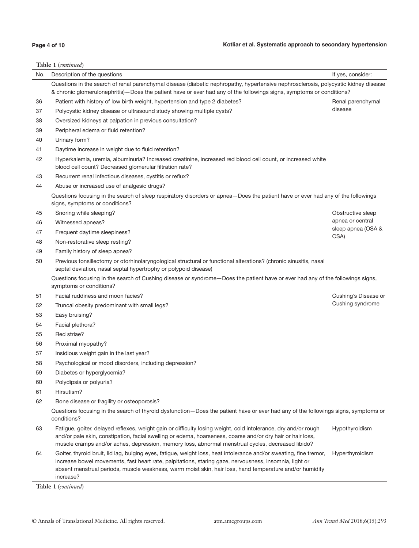# **Page 4 of 10**

# **Table 1** (*continued*)

| No. | Description of the questions                                                                                                                                                                                                                                                                                                                         | If yes, consider:    |  |
|-----|------------------------------------------------------------------------------------------------------------------------------------------------------------------------------------------------------------------------------------------------------------------------------------------------------------------------------------------------------|----------------------|--|
|     | Questions in the search of renal parenchymal disease (diabetic nephropathy, hypertensive nephrosclerosis, polycystic kidney disease<br>& chronic glomerulonephritis) – Does the patient have or ever had any of the followings signs, symptoms or conditions?                                                                                        |                      |  |
| 36  | Patient with history of low birth weight, hypertension and type 2 diabetes?                                                                                                                                                                                                                                                                          | Renal parenchymal    |  |
| 37  | Polycystic kidney disease or ultrasound study showing multiple cysts?                                                                                                                                                                                                                                                                                | disease              |  |
| 38  | Oversized kidneys at palpation in previous consultation?                                                                                                                                                                                                                                                                                             |                      |  |
| 39  | Peripheral edema or fluid retention?                                                                                                                                                                                                                                                                                                                 |                      |  |
| 40  | Urinary form?                                                                                                                                                                                                                                                                                                                                        |                      |  |
| 41  | Daytime increase in weight due to fluid retention?                                                                                                                                                                                                                                                                                                   |                      |  |
| 42  | Hyperkalemia, uremia, albuminuria? Increased creatinine, increased red blood cell count, or increased white<br>blood cell count? Decreased glomerular filtration rate?                                                                                                                                                                               |                      |  |
| 43  | Recurrent renal infectious diseases, cystitis or reflux?                                                                                                                                                                                                                                                                                             |                      |  |
| 44  | Abuse or increased use of analgesic drugs?                                                                                                                                                                                                                                                                                                           |                      |  |
|     | Questions focusing in the search of sleep respiratory disorders or apnea-Does the patient have or ever had any of the followings<br>signs, symptoms or conditions?                                                                                                                                                                                   |                      |  |
| 45  | Snoring while sleeping?                                                                                                                                                                                                                                                                                                                              | Obstructive sleep    |  |
| 46  | Witnessed apneas?                                                                                                                                                                                                                                                                                                                                    | apnea or central     |  |
| 47  | Frequent daytime sleepiness?                                                                                                                                                                                                                                                                                                                         | sleep apnea (OSA &   |  |
| 48  | Non-restorative sleep resting?                                                                                                                                                                                                                                                                                                                       | CSA)                 |  |
| 49  | Family history of sleep apnea?                                                                                                                                                                                                                                                                                                                       |                      |  |
| 50  | Previous tonsillectomy or otorhinolaryngological structural or functional alterations? (chronic sinusitis, nasal<br>septal deviation, nasal septal hypertrophy or polypoid disease)                                                                                                                                                                  |                      |  |
|     | Questions focusing in the search of Cushing disease or syndrome–Does the patient have or ever had any of the followings signs,<br>symptoms or conditions?                                                                                                                                                                                            |                      |  |
| 51  | Facial ruddiness and moon facies?                                                                                                                                                                                                                                                                                                                    | Cushing's Disease or |  |
| 52  | Truncal obesity predominant with small legs?                                                                                                                                                                                                                                                                                                         | Cushing syndrome     |  |
| 53  | Easy bruising?                                                                                                                                                                                                                                                                                                                                       |                      |  |
| 54  | Facial plethora?                                                                                                                                                                                                                                                                                                                                     |                      |  |
| 55  | Red striae?                                                                                                                                                                                                                                                                                                                                          |                      |  |
| 56  | Proximal myopathy?                                                                                                                                                                                                                                                                                                                                   |                      |  |
| 57  | Insidious weight gain in the last year?                                                                                                                                                                                                                                                                                                              |                      |  |
| 58  | Psychological or mood disorders, including depression?                                                                                                                                                                                                                                                                                               |                      |  |
| 59  | Diabetes or hyperglycemia?                                                                                                                                                                                                                                                                                                                           |                      |  |
| 60  | Polydipsia or polyuria?                                                                                                                                                                                                                                                                                                                              |                      |  |
| 61  | Hirsutism?                                                                                                                                                                                                                                                                                                                                           |                      |  |
| 62  | Bone disease or fragility or osteoporosis?                                                                                                                                                                                                                                                                                                           |                      |  |
|     | Questions focusing in the search of thyroid dysfunction-Does the patient have or ever had any of the followings signs, symptoms or<br>conditions?                                                                                                                                                                                                    |                      |  |
| 63  | Fatigue, goiter, delayed reflexes, weight gain or difficulty losing weight, cold intolerance, dry and/or rough<br>and/or pale skin, constipation, facial swelling or edema, hoarseness, coarse and/or dry hair or hair loss,<br>muscle cramps and/or aches, depression, memory loss, abnormal menstrual cycles, decreased libido?                    | Hypothyroidism       |  |
| 64  | Goiter, thyroid bruit, lid lag, bulging eyes, fatigue, weight loss, heat intolerance and/or sweating, fine tremor,<br>increase bowel movements, fast heart rate, palpitations, staring gaze, nervousness, insomnia, light or<br>absent menstrual periods, muscle weakness, warm moist skin, hair loss, hand temperature and/or humidity<br>increase? | Hyperthyroidism      |  |

**Table 1** (*continued*)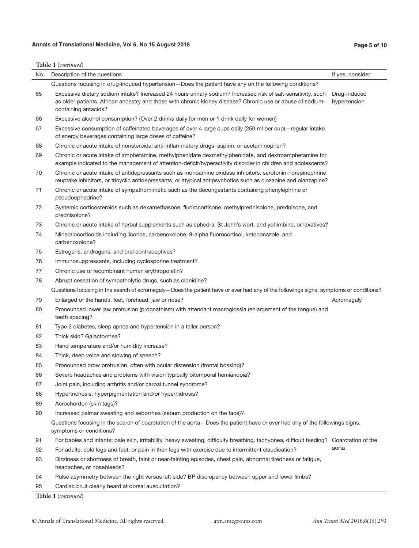# **Annals of Translational Medicine, Vol 6, No 15 August 2018 Page 5 of 10**

|     | Table 1 (continued)                                                                                                                                                                                                          |                   |  |  |  |
|-----|------------------------------------------------------------------------------------------------------------------------------------------------------------------------------------------------------------------------------|-------------------|--|--|--|
| No. | Description of the questions                                                                                                                                                                                                 | If yes, consider: |  |  |  |
|     | Questions focusing in drug-induced hypertension – Does the patient have any on the following conditions?                                                                                                                     |                   |  |  |  |
| 65  | Excessive dietary sodium intake? Increased 24 hours urinary sodium? Increased risk of salt-sensitivity, such                                                                                                                 | Drug-induced      |  |  |  |
|     | as older patients, African ancestry and those with chronic kidney disease? Chronic use or abuse of sodium-<br>containing antacids?                                                                                           | hypertension      |  |  |  |
| 66  | Excessive alcohol consumption? (Over 2 drinks daily for men or 1 drink daily for women)                                                                                                                                      |                   |  |  |  |
| 67  | Excessive consumption of caffeinated beverages of over 4 large cups daily (250 ml per cup) - regular intake<br>of energy beverages containing large doses of caffeine?                                                       |                   |  |  |  |
| 68  | Chronic or acute intake of nonsteroidal anti-inflammatory drugs, aspirin, or acetaminophen?                                                                                                                                  |                   |  |  |  |
| 69  | Chronic or acute intake of amphetamine, methylphenidate dexmethylphenidate, and dextroamphetamine for<br>example indicated to the management of attention-deficit/hyperactivity disorder in children and adolescents?        |                   |  |  |  |
| 70  | Chronic or acute intake of antidepressants such as monoamine oxidase inhibitors, serotonin-norepinephrine<br>reuptake inhibitors, or tricyclic antidepressants, or atypical antipsychotics such as clozapine and olanzapine? |                   |  |  |  |
| 71  | Chronic or acute intake of sympathomimetic such as the decongestants containing phenylephrine or<br>pseudoephedrine?                                                                                                         |                   |  |  |  |
| 72  | Systemic corticosteroids such as dexamethasone, fludrocortisone, methylprednisolone, prednisone, and<br>prednisolone?                                                                                                        |                   |  |  |  |
| 73  | Chronic or acute intake of herbal supplements such as ephedra, St John's wort, and yohimbine, or laxatives?                                                                                                                  |                   |  |  |  |
| 74  | Mineralocorticoids including licorice, carbenoxolone, 9-alpha fluorocortisol, ketoconazole, and<br>carbenoxolone?                                                                                                            |                   |  |  |  |
| 75  | Estrogens, androgens, and oral contraceptives?                                                                                                                                                                               |                   |  |  |  |
| 76  | Immunosuppressants, including cyclosporine treatment?                                                                                                                                                                        |                   |  |  |  |
| 77  | Chronic use of recombinant human erythropoietin?                                                                                                                                                                             |                   |  |  |  |
| 78  | Abrupt cessation of sympatholytic drugs, such as clonidine?                                                                                                                                                                  |                   |  |  |  |
|     | Questions focusing in the search of acromegaly-Does the patient have or ever had any of the followings signs, symptoms or conditions?                                                                                        |                   |  |  |  |
| 79  | Enlarged of the hands, feet, forehead, jaw or nose?                                                                                                                                                                          | Acromegaly        |  |  |  |
| 80  | Pronounced lower jaw protrusion (prognathism) with attendant macroglossia (enlargement of the tongue) and<br>teeth spacing?                                                                                                  |                   |  |  |  |
| 81  | Type 2 diabetes, sleep apnea and hypertension in a taller person?                                                                                                                                                            |                   |  |  |  |
| 82  | Thick skin? Galactorrhea?                                                                                                                                                                                                    |                   |  |  |  |
| 83  | Hand temperature and/or humidity increase?                                                                                                                                                                                   |                   |  |  |  |
| 84  | Thick, deep voice and slowing of speech?                                                                                                                                                                                     |                   |  |  |  |
| 85  | Pronounced brow protrusion, often with ocular distension (frontal bossing)?                                                                                                                                                  |                   |  |  |  |
| 86  | Severe headaches and problems with vision typically bitemporal hemianopia?                                                                                                                                                   |                   |  |  |  |
| 87  | Joint pain, including arthritis and/or carpal tunnel syndrome?                                                                                                                                                               |                   |  |  |  |
| 88  | Hypertrichosis, hyperpigmentation and/or hyperhidrosis?                                                                                                                                                                      |                   |  |  |  |
| 89  | Acrochordon (skin tags)?                                                                                                                                                                                                     |                   |  |  |  |
| 90  | Increased palmar sweating and seborrhea (sebum production on the face)?                                                                                                                                                      |                   |  |  |  |
|     | Questions focusing in the search of coarctation of the aorta-Does the patient have or ever had any of the followings signs,<br>symptoms or conditions?                                                                       |                   |  |  |  |
| 91  | For babies and infants: pale skin, irritability, heavy sweating, difficulty breathing, tachypnea, difficult feeding? Coarctation of the                                                                                      |                   |  |  |  |
| 92  | For adults: cold legs and feet, or pain in their legs with exercise due to intermittent claudication?                                                                                                                        | aorta             |  |  |  |
| 93  | Dizziness or shortness of breath, faint or near-fainting episodes, chest pain, abnormal tiredness or fatigue,<br>headaches, or nosebleeds?                                                                                   |                   |  |  |  |
| 94  | Pulse asymmetry between the right versus left side? BP discrepancy between upper and lower limbs?                                                                                                                            |                   |  |  |  |
| 95  | Cardiac bruit clearly heard at dorsal auscultation?                                                                                                                                                                          |                   |  |  |  |

**Table 1** (*continued*)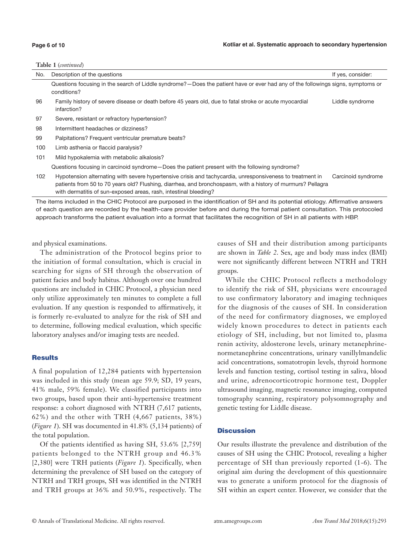#### **Page 6 of 10**

| Table 1 (continued) |  |
|---------------------|--|
|---------------------|--|

| No. | Description of the questions                                                                                                                                                                                                                                                                 | If yes, consider:  |
|-----|----------------------------------------------------------------------------------------------------------------------------------------------------------------------------------------------------------------------------------------------------------------------------------------------|--------------------|
|     | Questions focusing in the search of Liddle syndrome?—Does the patient have or ever had any of the followings signs, symptoms or<br>conditions?                                                                                                                                               |                    |
| 96  | Family history of severe disease or death before 45 years old, due to fatal stroke or acute myocardial<br>infarction?                                                                                                                                                                        | Liddle syndrome    |
| 97  | Severe, resistant or refractory hypertension?                                                                                                                                                                                                                                                |                    |
| 98  | Intermittent headaches or dizziness?                                                                                                                                                                                                                                                         |                    |
| 99  | Palpitations? Frequent ventricular premature beats?                                                                                                                                                                                                                                          |                    |
| 100 | Limb asthenia or flaccid paralysis?                                                                                                                                                                                                                                                          |                    |
| 101 | Mild hypokalemia with metabolic alkalosis?                                                                                                                                                                                                                                                   |                    |
|     | Questions focusing in carcinoid syndrome – Does the patient present with the following syndrome?                                                                                                                                                                                             |                    |
| 102 | Hypotension alternating with severe hypertensive crisis and tachycardia, unresponsiveness to treatment in<br>patients from 50 to 70 years old? Flushing, diarrhea, and bronchospasm, with a history of murmurs? Pellagra<br>with dermatitis of sun-exposed areas, rash, intestinal bleeding? | Carcinoid syndrome |

The items included in the CHIC Protocol are purposed in the identification of SH and its potential etiology. Affirmative answers of each question are recorded by the health-care provider before and during the formal patient consultation. This protocoled approach transforms the patient evaluation into a format that facilitates the recognition of SH in all patients with HBP.

and physical examinations.

The administration of the Protocol begins prior to the initiation of formal consultation, which is crucial in searching for signs of SH through the observation of patient facies and body habitus. Although over one hundred questions are included in CHIC Protocol, a physician need only utilize approximately ten minutes to complete a full evaluation. If any question is responded to affirmatively, it is formerly re-evaluated to analyze for the risk of SH and to determine, following medical evaluation, which specific laboratory analyses and/or imaging tests are needed.

#### **Results**

A final population of 12,284 patients with hypertension was included in this study (mean age 59.9; SD, 19 years, 41% male, 59% female). We classified participants into two groups, based upon their anti-hypertensive treatment response: a cohort diagnosed with NTRH (7,617 patients, 62%) and the other with TRH (4,667 patients, 38%) (*Figure 1*). SH was documented in 41.8% (5,134 patients) of the total population.

Of the patients identified as having SH, 53.6% [2,759] patients belonged to the NTRH group and 46.3% [2,380] were TRH patients (*Figure 1*). Specifically, when determining the prevalence of SH based on the category of NTRH and TRH groups, SH was identified in the NTRH and TRH groups at 36% and 50.9%, respectively. The

causes of SH and their distribution among participants are shown in *Table 2*. Sex, age and body mass index (BMI) were not significantly different between NTRH and TRH groups.

While the CHIC Protocol reflects a methodology to identify the risk of SH, physicians were encouraged to use confirmatory laboratory and imaging techniques for the diagnosis of the causes of SH. In consideration of the need for confirmatory diagnoses, we employed widely known procedures to detect in patients each etiology of SH, including, but not limited to, plasma renin activity, aldosterone levels, urinary metanephrinenormetanephrine concentrations, urinary vanillylmandelic acid concentrations, somatotropin levels, thyroid hormone levels and function testing, cortisol testing in saliva, blood and urine, adrenocorticotropic hormone test, Doppler ultrasound imaging, magnetic resonance imaging, computed tomography scanning, respiratory polysomnography and genetic testing for Liddle disease.

#### **Discussion**

Our results illustrate the prevalence and distribution of the causes of SH using the CHIC Protocol, revealing a higher percentage of SH than previously reported (1-6). The original aim during the development of this questionnaire was to generate a uniform protocol for the diagnosis of SH within an expert center. However, we consider that the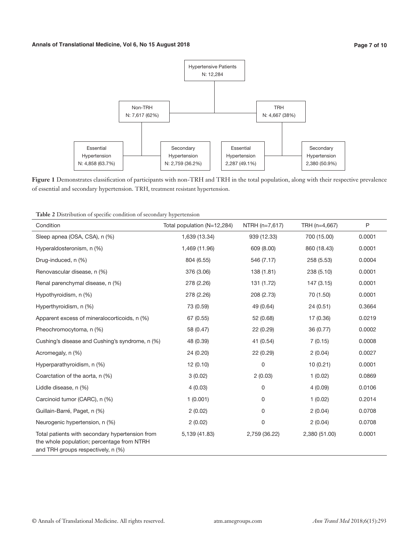

**Figure 1** Demonstrates classification of participants with non-TRH and TRH in the total population, along with their respective prevalence of essential and secondary hypertension. TRH, treatment resistant hypertension.

| Condition                                                                                                                           | Total population (N=12,284) | NTRH (n=7,617) | TRH (n=4,667) | P      |
|-------------------------------------------------------------------------------------------------------------------------------------|-----------------------------|----------------|---------------|--------|
| Sleep apnea (OSA, CSA), n (%)                                                                                                       | 1,639 (13.34)               | 939 (12.33)    | 700 (15.00)   | 0.0001 |
| Hyperaldosteronism, n (%)                                                                                                           | 1,469 (11.96)               | 609 (8.00)     | 860 (18.43)   | 0.0001 |
| Drug-induced, n (%)                                                                                                                 | 804 (6.55)                  | 546 (7.17)     | 258 (5.53)    | 0.0004 |
| Renovascular disease, n (%)                                                                                                         | 376 (3.06)                  | 138 (1.81)     | 238 (5.10)    | 0.0001 |
| Renal parenchymal disease, n (%)                                                                                                    | 278 (2.26)                  | 131 (1.72)     | 147 (3.15)    | 0.0001 |
| Hypothyroidism, n (%)                                                                                                               | 278 (2.26)                  | 208 (2.73)     | 70 (1.50)     | 0.0001 |
| Hyperthyroidism, n (%)                                                                                                              | 73 (0.59)                   | 49 (0.64)      | 24 (0.51)     | 0.3664 |
| Apparent excess of mineralocorticoids, n (%)                                                                                        | 67 (0.55)                   | 52 (0.68)      | 17 (0.36)     | 0.0219 |
| Pheochromocytoma, n (%)                                                                                                             | 58 (0.47)                   | 22 (0.29)      | 36 (0.77)     | 0.0002 |
| Cushing's disease and Cushing's syndrome, n (%)                                                                                     | 48 (0.39)                   | 41 (0.54)      | 7(0.15)       | 0.0008 |
| Acromegaly, n (%)                                                                                                                   | 24 (0.20)                   | 22 (0.29)      | 2(0.04)       | 0.0027 |
| Hyperparathyroidism, n (%)                                                                                                          | 12(0.10)                    | 0              | 10(0.21)      | 0.0001 |
| Coarctation of the aorta, n (%)                                                                                                     | 3(0.02)                     | 2(0.03)        | 1(0.02)       | 0.0869 |
| Liddle disease, n (%)                                                                                                               | 4(0.03)                     | 0              | 4(0.09)       | 0.0106 |
| Carcinoid tumor (CARC), n (%)                                                                                                       | 1(0.001)                    | 0              | 1(0.02)       | 0.2014 |
| Guillain-Barré, Paget, n (%)                                                                                                        | 2(0.02)                     | 0              | 2(0.04)       | 0.0708 |
| Neurogenic hypertension, n (%)                                                                                                      | 2(0.02)                     | 0              | 2(0.04)       | 0.0708 |
| Total patients with secondary hypertension from<br>the whole population; percentage from NTRH<br>and TRH groups respectively, n (%) | 5,139 (41.83)               | 2,759 (36.22)  | 2,380 (51.00) | 0.0001 |

**Table 2** Distribution of specific condition of secondary hypertension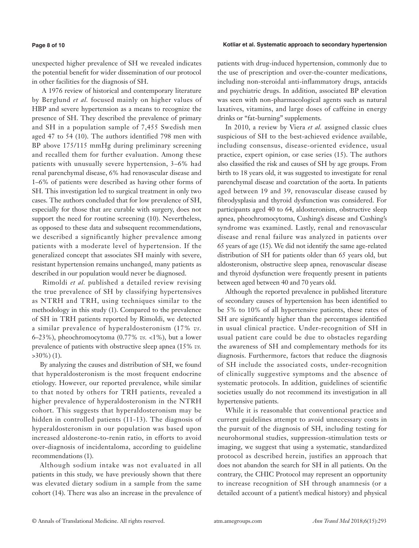#### **Page 8 of 10**

#### **Kotliar et al. Systematic approach to secondary hypertension**

unexpected higher prevalence of SH we revealed indicates the potential benefit for wider dissemination of our protocol in other facilities for the diagnosis of SH.

 A 1976 review of historical and contemporary literature by Berglund *et al.* focused mainly on higher values of HBP and severe hypertension as a means to recognize the presence of SH. They described the prevalence of primary and SH in a population sample of 7,455 Swedish men aged 47 to 54 (10). The authors identified 798 men with BP above 175/115 mmHg during preliminary screening and recalled them for further evaluation. Among these patients with unusually severe hypertension, 3–6% had renal parenchymal disease, 6% had renovascular disease and 1–6% of patients were described as having other forms of SH. This investigation led to surgical treatment in only two cases. The authors concluded that for low prevalence of SH, especially for those that are curable with surgery, does not support the need for routine screening (10). Nevertheless, as opposed to these data and subsequent recommendations, we described a significantly higher prevalence among patients with a moderate level of hypertension. If the generalized concept that associates SH mainly with severe, resistant hypertension remains unchanged, many patients as described in our population would never be diagnosed.

 Rimoldi *et al.* published a detailed review revising the true prevalence of SH by classifying hypertensives as NTRH and TRH, using techniques similar to the methodology in this study (1). Compared to the prevalence of SH in TRH patients reported by Rimoldi, we detected a similar prevalence of hyperaldosteronism (17% *vs.* 6–23%), pheochromocytoma (0.77% *vs.* <1%), but a lower prevalence of patients with obstructive sleep apnea (15% *vs.*  $>30\%$ ) (1).

By analyzing the causes and distribution of SH, we found that hyperaldosteronism is the most frequent endocrine etiology. However, our reported prevalence, while similar to that noted by others for TRH patients, revealed a higher prevalence of hyperaldosteronism in the NTRH cohort. This suggests that hyperaldosteronism may be hidden in controlled patients (11-13). The diagnosis of hyperaldosteronism in our population was based upon increased aldosterone-to-renin ratio, in efforts to avoid over-diagnosis of incidentaloma, according to guideline recommendations (1).

Although sodium intake was not evaluated in all patients in this study, we have previously shown that there was elevated dietary sodium in a sample from the same cohort (14). There was also an increase in the prevalence of

patients with drug-induced hypertension, commonly due to the use of prescription and over-the-counter medications, including non-steroidal anti-inflammatory drugs, antacids and psychiatric drugs. In addition, associated BP elevation was seen with non-pharmacological agents such as natural laxatives, vitamins, and large doses of caffeine in energy drinks or "fat-burning" supplements.

In 2010, a review by Viera *et al.* assigned classic clues suspicious of SH to the best-achieved evidence available, including consensus, disease-oriented evidence, usual practice, expert opinion, or case series (15). The authors also classified the risk and causes of SH by age groups. From birth to 18 years old, it was suggested to investigate for renal parenchymal disease and coarctation of the aorta. In patients aged between 19 and 39, renovascular disease caused by fibrodysplasia and thyroid dysfunction was considered. For participants aged 40 to 64, aldosteronism, obstructive sleep apnea, pheochromocytoma, Cushing's disease and Cushing's syndrome was examined. Lastly, renal and renovascular disease and renal failure was analyzed in patients over 65 years of age (15). We did not identify the same age-related distribution of SH for patients older than 65 years old, but aldosteronism, obstructive sleep apnea, renovascular disease and thyroid dysfunction were frequently present in patients between aged between 40 and 70 years old.

Although the reported prevalence in published literature of secondary causes of hypertension has been identified to be 5% to 10% of all hypertensive patients, these rates of SH are significantly higher than the percentages identified in usual clinical practice. Under-recognition of SH in usual patient care could be due to obstacles regarding the awareness of SH and complementary methods for its diagnosis. Furthermore, factors that reduce the diagnosis of SH include the associated costs, under-recognition of clinically suggestive symptoms and the absence of systematic protocols. In addition, guidelines of scientific societies usually do not recommend its investigation in all hypertensive patients.

While it is reasonable that conventional practice and current guidelines attempt to avoid unnecessary costs in the pursuit of the diagnosis of SH, including testing for neurohormonal studies, suppression-stimulation tests or imaging, we suggest that using a systematic, standardized protocol as described herein, justifies an approach that does not abandon the search for SH in all patients. On the contrary, the CHIC Protocol may represent an opportunity to increase recognition of SH through anamnesis (or a detailed account of a patient's medical history) and physical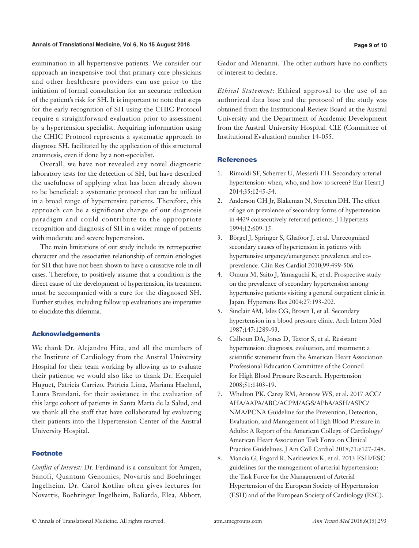#### **Annals of Translational Medicine, Vol 6, No 15 August 2018 Page 9 of 10**

examination in all hypertensive patients. We consider our approach an inexpensive tool that primary care physicians and other healthcare providers can use prior to the initiation of formal consultation for an accurate reflection of the patient's risk for SH. It is important to note that steps for the early recognition of SH using the CHIC Protocol require a straightforward evaluation prior to assessment by a hypertension specialist. Acquiring information using the CHIC Protocol represents a systematic approach to diagnose SH, facilitated by the application of this structured anamnesis, even if done by a non-specialist.

Overall, we have not revealed any novel diagnostic laboratory tests for the detection of SH, but have described the usefulness of applying what has been already shown to be beneficial: a systematic protocol that can be utilized in a broad range of hypertensive patients. Therefore, this approach can be a significant change of our diagnosis paradigm and could contribute to the appropriate recognition and diagnosis of SH in a wider range of patients with moderate and severe hypertension.

The main limitations of our study include its retrospective character and the associative relationship of certain etiologies for SH that have not been shown to have a causative role in all cases. Therefore, to positively assume that a condition is the direct cause of the development of hypertension, its treatment must be accompanied with a cure for the diagnosed SH. Further studies, including follow up evaluations are imperative to elucidate this dilemma.

#### Acknowledgements

We thank Dr. Alejandro Hita, and all the members of the Institute of Cardiology from the Austral University Hospital for their team working by allowing us to evaluate their patients; we would also like to thank Dr. Ezequiel Huguet, Patricia Carrizo, Patricia Lima, Mariana Haehnel, Laura Brandani, for their assistance in the evaluation of this large cohort of patients in Santa María de la Salud, and we thank all the staff that have collaborated by evaluating their patients into the Hypertension Center of the Austral University Hospital.

#### Footnote

*Conflict of Interest:* Dr. Ferdinand is a consultant for Amgen, Sanofi, Quantum Genomics, Novartis and Boehringer Ingelheim. Dr. Carol Kotliar often gives lectures for Novartis, Boehringer Ingelheim, Baliarda, Elea, Abbott, Gador and Menarini. The other authors have no conflicts of interest to declare.

*Ethical Statement:* Ethical approval to the use of an authorized data base and the protocol of the study was obtained from the Institutional Review Board at the Austral University and the Department of Academic Development from the Austral University Hospital. CIE (Committee of Institutional Evaluation) number 14-055.

### **References**

- 1. Rimoldi SF, Scherrer U, Messerli FH. Secondary arterial hypertension: when, who, and how to screen? Eur Heart J 2014;35:1245-54.
- 2. Anderson GH Jr, Blakeman N, Streeten DH. The effect of age on prevalence of secondary forms of hypertension in 4429 consecutively referred patients. J Hypertens 1994;12:609-15.
- 3. Börgel J, Springer S, Ghafoor J, et al. Unrecognized secondary causes of hypertension in patients with hypertensive urgency/emergency: prevalence and coprevalence. Clin Res Cardiol 2010;99:499-506.
- 4. Omura M, Saito J, Yamaguchi K, et al. Prospective study on the prevalence of secondary hypertension among hypertensive patients visiting a general outpatient clinic in Japan. Hypertens Res 2004;27:193-202.
- 5. Sinclair AM, Isles CG, Brown I, et al. Secondary hypertension in a blood pressure clinic. Arch Intern Med 1987;147:1289-93.
- 6. Calhoun DA, Jones D, Textor S, et al. Resistant hypertension: diagnosis, evaluation, and treatment: a scientific statement from the American Heart Association Professional Education Committee of the Council for High Blood Pressure Research. Hypertension 2008;51:1403-19.
- 7. Whelton PK, Carey RM, Aronow WS, et al. 2017 ACC/ AHA/AAPA/ABC/ACPM/AGS/APhA/ASH/ASPC/ NMA/PCNA Guideline for the Prevention, Detection, Evaluation, and Management of High Blood Pressure in Adults: A Report of the American College of Cardiology/ American Heart Association Task Force on Clinical Practice Guidelines. J Am Coll Cardiol 2018;71:e127-248.
- 8. Mancia G, Fagard R, Narkiewicz K, et al. 2013 ESH/ESC guidelines for the management of arterial hypertension: the Task Force for the Management of Arterial Hypertension of the European Society of Hypertension (ESH) and of the European Society of Cardiology (ESC).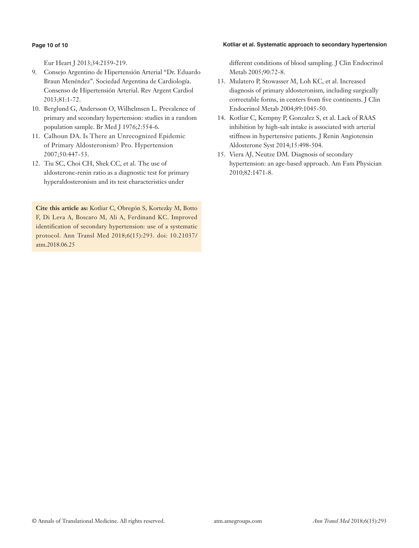#### **Kotliar et al. Systematic approach to secondary hypertension**

#### **Page 10 of 10**

Eur Heart J 2013;34:2159-219.

- 9. Consejo Argentino de Hipertensión Arterial "Dr. Eduardo Braun Menéndez". Sociedad Argentina de Cardiología. Consenso de Hipertensión Arterial. Rev Argent Cardiol 2013;81:1-72.
- 10. Berglund G, Andersson O, Wilhelmsen L. Prevalence of primary and secondary hypertension: studies in a random population sample. Br Med J 1976;2:554-6.
- 11. Calhoun DA. Is There an Unrecognized Epidemic of Primary Aldosteronism? Pro. Hypertension 2007;50:447-53.
- 12. Tiu SC, Choi CH, Shek CC, et al. The use of aldosterone-renin ratio as a diagnostic test for primary hyperaldosteronism and its test characteristics under

**Cite this article as:** Kotliar C, Obregón S, Kortezky M, Botto F, Di Leva A, Boscaro M, Ali A, Ferdinand KC. Improved identification of secondary hypertension: use of a systematic protocol. Ann Transl Med 2018;6(15):293. doi: 10.21037/ atm.2018.06.25

different conditions of blood sampling. J Clin Endocrinol Metab 2005;90:72-8.

- 13. Mulatero P, Stowasser M, Loh KC, et al. Increased diagnosis of primary aldosteronism, including surgically correctable forms, in centers from five continents. J Clin Endocrinol Metab 2004;89:1045-50.
- 14. Kotliar C, Kempny P, Gonzalez S, et al. Lack of RAAS inhibition by high-salt intake is associated with arterial stiffness in hypertensive patients. J Renin Angiotensin Aldosterone Syst 2014;15:498-504.
- 15. Viera AJ, Neutze DM. Diagnosis of secondary hypertension: an age-based approach. Am Fam Physician 2010;82:1471-8.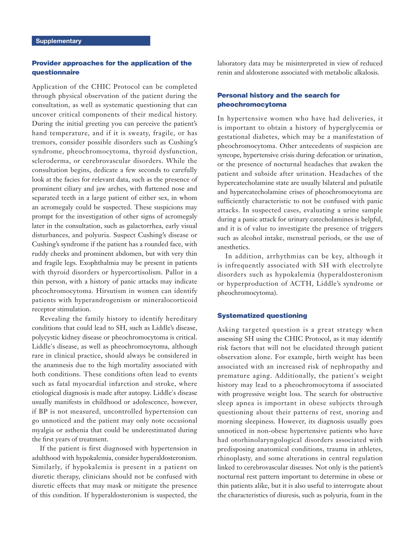# Provider approaches for the application of the questionnaire

Application of the CHIC Protocol can be completed through physical observation of the patient during the consultation, as well as systematic questioning that can uncover critical components of their medical history. During the initial greeting you can perceive the patient's hand temperature, and if it is sweaty, fragile, or has tremors, consider possible disorders such as Cushing's syndrome, pheochromocytoma, thyroid dysfunction, scleroderma, or cerebrovascular disorders. While the consultation begins, dedicate a few seconds to carefully look at the facies for relevant data, such as the presence of prominent ciliary and jaw arches, with flattened nose and separated teeth in a large patient of either sex, in whom an acromegaly could be suspected. These suspicions may prompt for the investigation of other signs of acromegaly later in the consultation, such as galactorrhea, early visual disturbances, and polyuria. Suspect Cushing's disease or Cushing's syndrome if the patient has a rounded face, with ruddy cheeks and prominent abdomen, but with very thin and fragile legs. Exophthalmia may be present in patients with thyroid disorders or hypercortisolism. Pallor in a thin person, with a history of panic attacks may indicate pheochromocytoma. Hirsutism in women can identify patients with hyperandrogenism or mineralocorticoid receptor stimulation.

Revealing the family history to identify hereditary conditions that could lead to SH, such as Liddle's disease, polycystic kidney disease or pheochromocytoma is critical. Liddle's disease, as well as pheochromocytoma, although rare in clinical practice, should always be considered in the anamnesis due to the high mortality associated with both conditions. These conditions often lead to events such as fatal myocardial infarction and stroke, where etiological diagnosis is made after autopsy. Liddle's disease usually manifests in childhood or adolescence, however, if BP is not measured, uncontrolled hypertension can go unnoticed and the patient may only note occasional myalgia or asthenia that could be underestimated during the first years of treatment.

If the patient is first diagnosed with hypertension in adulthood with hypokalemia, consider hyperaldosteronism. Similarly, if hypokalemia is present in a patient on diuretic therapy, clinicians should not be confused with diuretic effects that may mask or mitigate the presence of this condition. If hyperaldosteronism is suspected, the

laboratory data may be misinterpreted in view of reduced renin and aldosterone associated with metabolic alkalosis.

# Personal history and the search for pheochromocytoma

In hypertensive women who have had deliveries, it is important to obtain a history of hyperglycemia or gestational diabetes, which may be a manifestation of pheochromocytoma. Other antecedents of suspicion are syncope, hypertensive crisis during defecation or urination, or the presence of nocturnal headaches that awaken the patient and subside after urination. Headaches of the hypercatecholamine state are usually bilateral and pulsatile and hypercatecholamine crises of pheochromocytoma are sufficiently characteristic to not be confused with panic attacks. In suspected cases, evaluating a urine sample during a panic attack for urinary catecholamines is helpful, and it is of value to investigate the presence of triggers such as alcohol intake, menstrual periods, or the use of anesthetics.

In addition, arrhythmias can be key, although it is infrequently associated with SH with electrolyte disorders such as hypokalemia (hyperaldosteronism or hyperproduction of ACTH, Liddle's syndrome or pheochromocytoma).

#### Systematized questioning

Asking targeted question is a great strategy when assessing SH using the CHIC Protocol, as it may identify risk factors that will not be elucidated through patient observation alone. For example, birth weight has been associated with an increased risk of nephropathy and premature aging. Additionally, the patient's weight history may lead to a pheochromocytoma if associated with progressive weight loss. The search for obstructive sleep apnea is important in obese subjects through questioning about their patterns of rest, snoring and morning sleepiness. However, its diagnosis usually goes unnoticed in non-obese hypertensive patients who have had otorhinolaryngological disorders associated with predisposing anatomical conditions, trauma in athletes, rhinoplasty, and some alterations in central regulation linked to cerebrovascular diseases. Not only is the patient's nocturnal rest pattern important to determine in obese or thin patients alike, but it is also useful to interrogate about the characteristics of diuresis, such as polyuria, foam in the